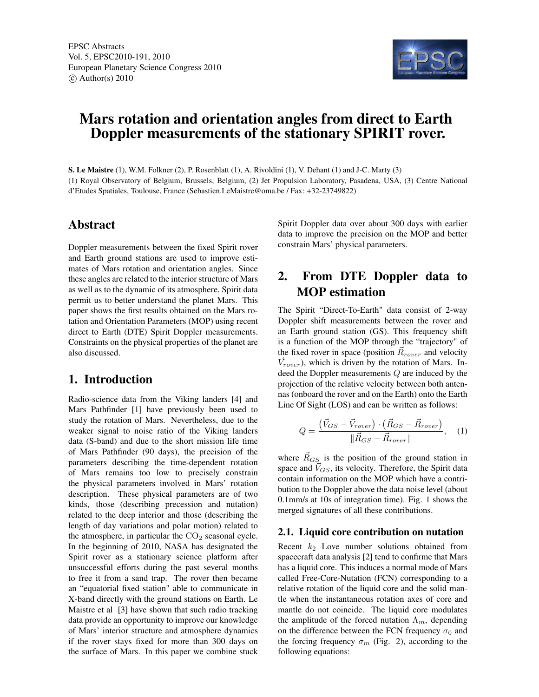

# Mars rotation and orientation angles from direct to Earth Doppler measurements of the stationary SPIRIT rover.

S. Le Maistre (1), W.M. Folkner (2), P. Rosenblatt (1), A. Rivoldini (1), V. Dehant (1) and J-C. Marty (3) (1) Royal Observatory of Belgium, Brussels, Belgium, (2) Jet Propulsion Laboratory, Pasadena, USA, (3) Centre National d'Etudes Spatiales, Toulouse, France (Sebastien.LeMaistre@oma.be / Fax: +32-23749822)

## Abstract

Doppler measurements between the fixed Spirit rover and Earth ground stations are used to improve estimates of Mars rotation and orientation angles. Since these angles are related to the interior structure of Mars as well as to the dynamic of its atmosphere, Spirit data permit us to better understand the planet Mars. This paper shows the first results obtained on the Mars rotation and Orientation Parameters (MOP) using recent direct to Earth (DTE) Spirit Doppler measurements. Constraints on the physical properties of the planet are also discussed.

## 1. Introduction

Radio-science data from the Viking landers [4] and Mars Pathfinder [1] have previously been used to study the rotation of Mars. Nevertheless, due to the weaker signal to noise ratio of the Viking landers data (S-band) and due to the short mission life time of Mars Pathfinder (90 days), the precision of the parameters describing the time-dependent rotation of Mars remains too low to precisely constrain the physical parameters involved in Mars' rotation description. These physical parameters are of two kinds, those (describing precession and nutation) related to the deep interior and those (describing the length of day variations and polar motion) related to the atmosphere, in particular the  $CO<sub>2</sub>$  seasonal cycle. In the beginning of 2010, NASA has designated the Spirit rover as a stationary science platform after unsuccessful efforts during the past several months to free it from a sand trap. The rover then became an "equatorial fixed station" able to communicate in X-band directly with the ground stations on Earth. Le Maistre et al [3] have shown that such radio tracking data provide an opportunity to improve our knowledge of Mars' interior structure and atmosphere dynamics if the rover stays fixed for more than 300 days on the surface of Mars. In this paper we combine stuck Spirit Doppler data over about 300 days with earlier data to improve the precision on the MOP and better constrain Mars' physical parameters.

## 2. From DTE Doppler data to MOP estimation

The Spirit "Direct-To-Earth" data consist of 2-way Doppler shift measurements between the rover and an Earth ground station (GS). This frequency shift is a function of the MOP through the "trajectory" of the fixed rover in space (position  $\vec{R}_{rover}$  and velocity  $\vec{V}_{rover}$ ), which is driven by the rotation of Mars. Indeed the Doppler measurements Q are induced by the projection of the relative velocity between both antennas (onboard the rover and on the Earth) onto the Earth Line Of Sight (LOS) and can be written as follows:

$$
Q = \frac{(\vec{V}_{GS} - \vec{V}_{rover}) \cdot (\vec{R}_{GS} - \vec{R}_{rover})}{\|\vec{R}_{GS} - \vec{R}_{rover}\|}, \quad (1)
$$

where  $R_{GS}$  is the position of the ground station in space and  $V_{GS}$ , its velocity. Therefore, the Spirit data contain information on the MOP which have a contribution to the Doppler above the data noise level (about 0.1mm/s at 10s of integration time). Fig. 1 shows the merged signatures of all these contributions.

#### 2.1. Liquid core contribution on nutation

Recent  $k_2$  Love number solutions obtained from spacecraft data analysis [2] tend to confirme that Mars has a liquid core. This induces a normal mode of Mars called Free-Core-Nutation (FCN) corresponding to a relative rotation of the liquid core and the solid mantle when the instantaneous rotation axes of core and mantle do not coincide. The liquid core modulates the amplitude of the forced nutation  $\Lambda_m$ , depending on the difference between the FCN frequency  $\sigma_0$  and the forcing frequency  $\sigma_m$  (Fig. 2), according to the following equations: